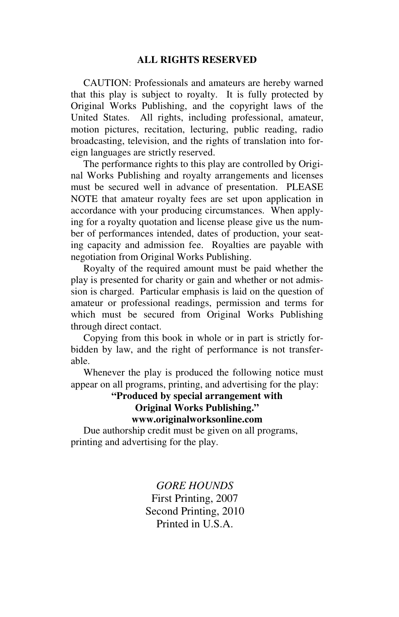CAUTION: Professionals and amateurs are hereby warned that this play is subject to royalty. It is fully protected by Original Works Publishing, and the copyright laws of the United States. All rights, including professional, amateur, motion pictures, recitation, lecturing, public reading, radio broadcasting, television, and the rights of translation into foreign languages are strictly reserved.

 The performance rights to this play are controlled by Original Works Publishing and royalty arrangements and licenses must be secured well in advance of presentation. PLEASE NOTE that amateur royalty fees are set upon application in accordance with your producing circumstances. When applying for a royalty quotation and license please give us the number of performances intended, dates of production, your seating capacity and admission fee. Royalties are payable with negotiation from Original Works Publishing.

 Royalty of the required amount must be paid whether the play is presented for charity or gain and whether or not admission is charged. Particular emphasis is laid on the question of amateur or professional readings, permission and terms for which must be secured from Original Works Publishing through direct contact.

 Copying from this book in whole or in part is strictly forbidden by law, and the right of performance is not transferable.

 Whenever the play is produced the following notice must appear on all programs, printing, and advertising for the play:

> **"Produced by special arrangement with Original Works Publishing." www.originalworksonline.com**

 Due authorship credit must be given on all programs, printing and advertising for the play.

> *GORE HOUNDS*  First Printing, 2007 Second Printing, 2010 Printed in U.S.A.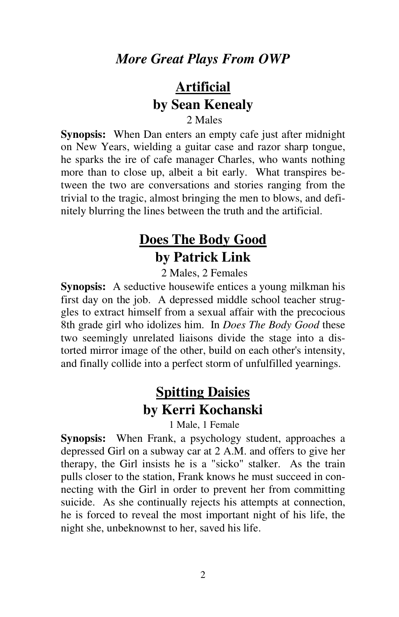## **Artificial by Sean Kenealy**

### 2 Males

**Synopsis:** When Dan enters an empty cafe just after midnight on New Years, wielding a guitar case and razor sharp tongue, he sparks the ire of cafe manager Charles, who wants nothing more than to close up, albeit a bit early. What transpires between the two are conversations and stories ranging from the trivial to the tragic, almost bringing the men to blows, and definitely blurring the lines between the truth and the artificial.

## **Does The Body Good by Patrick Link**

2 Males, 2 Females

**Synopsis:** A seductive housewife entices a young milkman his first day on the job. A depressed middle school teacher struggles to extract himself from a sexual affair with the precocious 8th grade girl who idolizes him. In *Does The Body Good* these two seemingly unrelated liaisons divide the stage into a distorted mirror image of the other, build on each other's intensity, and finally collide into a perfect storm of unfulfilled yearnings.

## **Spitting Daisies by Kerri Kochanski**

1 Male, 1 Female

**Synopsis:** When Frank, a psychology student, approaches a depressed Girl on a subway car at 2 A.M. and offers to give her therapy, the Girl insists he is a "sicko" stalker. As the train pulls closer to the station, Frank knows he must succeed in connecting with the Girl in order to prevent her from committing suicide. As she continually rejects his attempts at connection, he is forced to reveal the most important night of his life, the night she, unbeknownst to her, saved his life.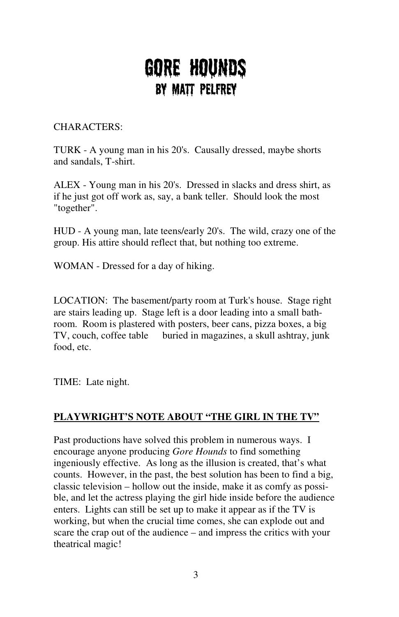# GORE HOUNDS By Matt Pelfrey

### CHARACTERS:

TURK - A young man in his 20's. Causally dressed, maybe shorts and sandals, T-shirt.

ALEX - Young man in his 20's. Dressed in slacks and dress shirt, as if he just got off work as, say, a bank teller. Should look the most "together".

HUD - A young man, late teens/early 20's. The wild, crazy one of the group. His attire should reflect that, but nothing too extreme.

WOMAN - Dressed for a day of hiking.

LOCATION: The basement/party room at Turk's house. Stage right are stairs leading up. Stage left is a door leading into a small bathroom. Room is plastered with posters, beer cans, pizza boxes, a big TV, couch, coffee table buried in magazines, a skull ashtray, junk food, etc.

TIME: Late night.

### **PLAYWRIGHT'S NOTE ABOUT "THE GIRL IN THE TV"**

Past productions have solved this problem in numerous ways. I encourage anyone producing *Gore Hounds* to find something ingeniously effective. As long as the illusion is created, that's what counts. However, in the past, the best solution has been to find a big, classic television – hollow out the inside, make it as comfy as possible, and let the actress playing the girl hide inside before the audience enters. Lights can still be set up to make it appear as if the TV is working, but when the crucial time comes, she can explode out and scare the crap out of the audience – and impress the critics with your theatrical magic!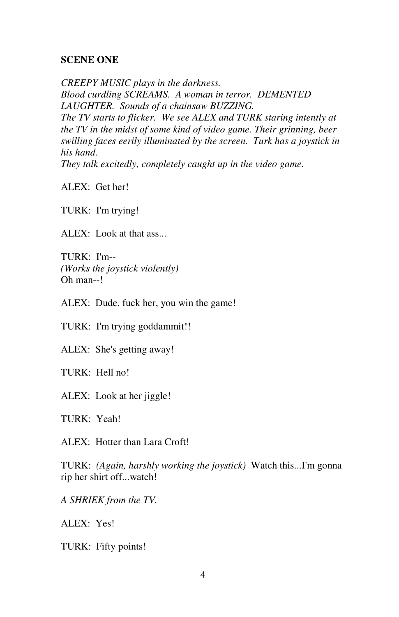#### **SCENE ONE**

*CREEPY MUSIC plays in the darkness. Blood curdling SCREAMS. A woman in terror. DEMENTED LAUGHTER. Sounds of a chainsaw BUZZING. The TV starts to flicker. We see ALEX and TURK staring intently at the TV in the midst of some kind of video game. Their grinning, beer swilling faces eerily illuminated by the screen. Turk has a joystick in his hand. They talk excitedly, completely caught up in the video game.* 

ALEX: Get her!

TURK: I'm trying!

ALEX: Look at that ass...

TURK: I'm-- *(Works the joystick violently)*  Oh man--!

ALEX: Dude, fuck her, you win the game!

TURK: I'm trying goddammit!!

ALEX: She's getting away!

TURK: Hell no!

ALEX: Look at her jiggle!

TURK: Yeah!

ALEX: Hotter than Lara Croft!

TURK: *(Again, harshly working the joystick)* Watch this...I'm gonna rip her shirt off...watch!

*A SHRIEK from the TV.* 

ALEX: Yes!

TURK: Fifty points!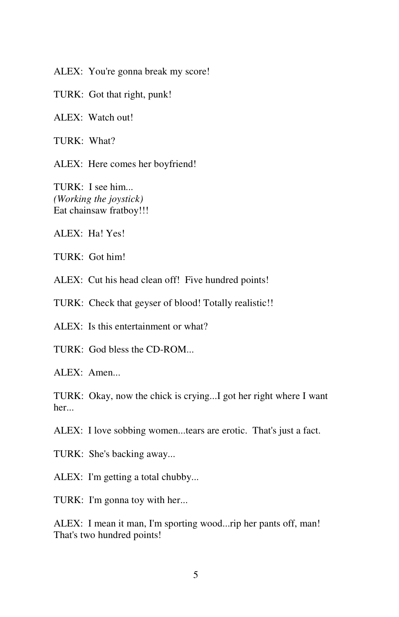ALEX: You're gonna break my score!

TURK: Got that right, punk!

ALEX: Watch out!

TURK: What?

ALEX: Here comes her boyfriend!

TURK: I see him... *(Working the joystick)*  Eat chainsaw fratboy!!!

ALEX: Ha! Yes!

TURK: Got him!

ALEX: Cut his head clean off! Five hundred points!

TURK: Check that geyser of blood! Totally realistic!!

ALEX: Is this entertainment or what?

TURK: God bless the CD-ROM...

ALEX: Amen...

TURK: Okay, now the chick is crying...I got her right where I want her...

ALEX: I love sobbing women...tears are erotic. That's just a fact.

TURK: She's backing away...

ALEX: I'm getting a total chubby...

TURK: I'm gonna toy with her...

ALEX: I mean it man, I'm sporting wood...rip her pants off, man! That's two hundred points!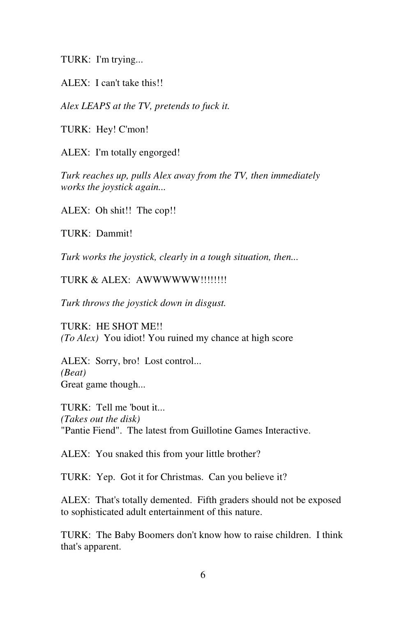TURK: I'm trying...

ALEX: I can't take this!!

*Alex LEAPS at the TV, pretends to fuck it.* 

TURK: Hey! C'mon!

ALEX: I'm totally engorged!

*Turk reaches up, pulls Alex away from the TV, then immediately works the joystick again...* 

ALEX: Oh shit!! The cop!!

TURK: Dammit!

*Turk works the joystick, clearly in a tough situation, then...* 

TURK & ALEX: AWWWWWW!!!!!!!!!

*Turk throws the joystick down in disgust.* 

TURK: HE SHOT ME!! *(To Alex)* You idiot! You ruined my chance at high score

ALEX: Sorry, bro! Lost control... *(Beat)*  Great game though...

TURK: Tell me 'bout it... *(Takes out the disk)*  "Pantie Fiend". The latest from Guillotine Games Interactive.

ALEX: You snaked this from your little brother?

TURK: Yep. Got it for Christmas. Can you believe it?

ALEX: That's totally demented. Fifth graders should not be exposed to sophisticated adult entertainment of this nature.

TURK: The Baby Boomers don't know how to raise children. I think that's apparent.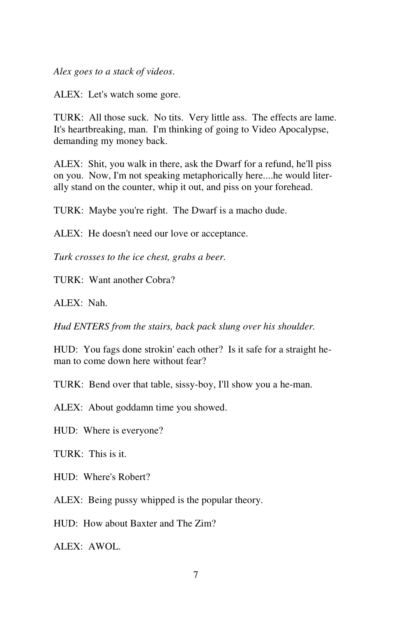*Alex goes to a stack of videos*.

ALEX: Let's watch some gore.

TURK: All those suck. No tits. Very little ass. The effects are lame. It's heartbreaking, man. I'm thinking of going to Video Apocalypse, demanding my money back.

ALEX: Shit, you walk in there, ask the Dwarf for a refund, he'll piss on you. Now, I'm not speaking metaphorically here....he would literally stand on the counter, whip it out, and piss on your forehead.

TURK: Maybe you're right. The Dwarf is a macho dude.

ALEX: He doesn't need our love or acceptance.

*Turk crosses to the ice chest, grabs a beer.* 

TURK: Want another Cobra?

ALEX: Nah.

*Hud ENTERS from the stairs, back pack slung over his shoulder.* 

HUD: You fags done strokin' each other? Is it safe for a straight heman to come down here without fear?

TURK: Bend over that table, sissy-boy, I'll show you a he-man.

ALEX: About goddamn time you showed.

HUD: Where is everyone?

TURK: This is it.

HUD: Where's Robert?

ALEX: Being pussy whipped is the popular theory.

HUD: How about Baxter and The Zim?

ALEX: AWOL.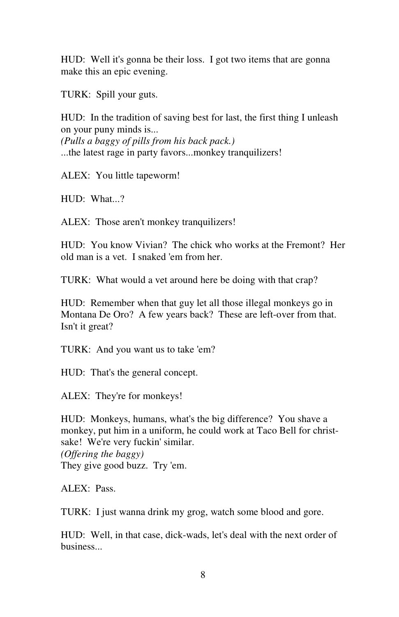HUD: Well it's gonna be their loss. I got two items that are gonna make this an epic evening.

TURK: Spill your guts.

HUD: In the tradition of saving best for last, the first thing I unleash on your puny minds is... *(Pulls a baggy of pills from his back pack.)*  ...the latest rage in party favors...monkey tranquilizers!

ALEX: You little tapeworm!

HUD: What...?

ALEX: Those aren't monkey tranquilizers!

HUD: You know Vivian? The chick who works at the Fremont? Her old man is a vet. I snaked 'em from her.

TURK: What would a vet around here be doing with that crap?

HUD: Remember when that guy let all those illegal monkeys go in Montana De Oro? A few years back? These are left-over from that. Isn't it great?

TURK: And you want us to take 'em?

HUD: That's the general concept.

ALEX: They're for monkeys!

HUD: Monkeys, humans, what's the big difference? You shave a monkey, put him in a uniform, he could work at Taco Bell for christsake! We're very fuckin' similar. *(Offering the baggy)*  They give good buzz. Try 'em.

 $AI$  EX $·$  Pass.

TURK: I just wanna drink my grog, watch some blood and gore.

HUD: Well, in that case, dick-wads, let's deal with the next order of business...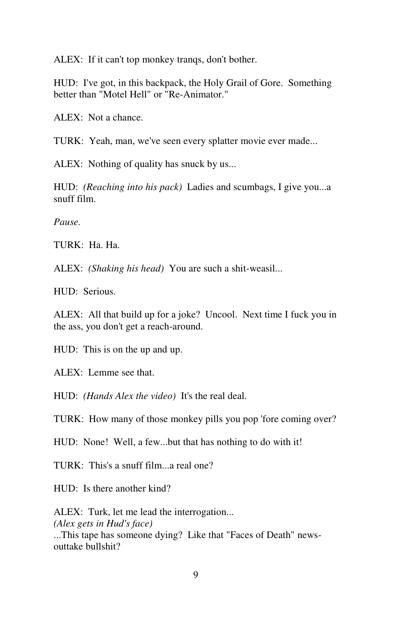ALEX: If it can't top monkey tranqs, don't bother.

HUD: I've got, in this backpack, the Holy Grail of Gore. Something better than "Motel Hell" or "Re-Animator."

ALEX: Not a chance.

TURK: Yeah, man, we've seen every splatter movie ever made...

ALEX: Nothing of quality has snuck by us...

HUD: *(Reaching into his pack)* Ladies and scumbags, I give you...a snuff film.

*Pause.* 

TURK: Ha. Ha.

ALEX: *(Shaking his head)* You are such a shit-weasil...

HUD: Serious.

ALEX: All that build up for a joke? Uncool. Next time I fuck you in the ass, you don't get a reach-around.

HUD: This is on the up and up.

ALEX: Lemme see that.

HUD: *(Hands Alex the video)* It's the real deal.

TURK: How many of those monkey pills you pop 'fore coming over?

HUD: None! Well, a few...but that has nothing to do with it!

TURK: This's a snuff film...a real one?

HUD: Is there another kind?

ALEX: Turk, let me lead the interrogation... *(Alex gets in Hud's face)*  ...This tape has someone dying? Like that "Faces of Death" newsouttake bullshit?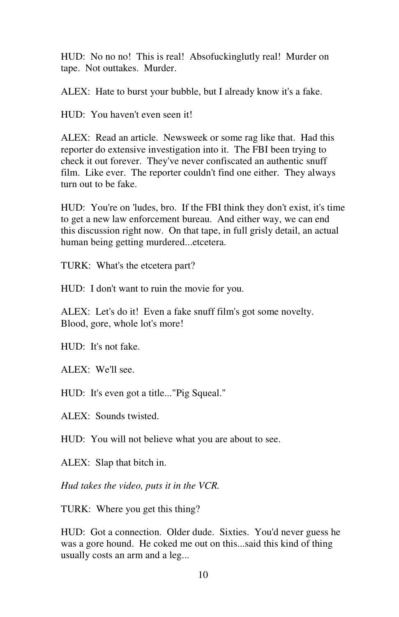HUD: No no no! This is real! Absofuckinglutly real! Murder on tape. Not outtakes. Murder.

ALEX: Hate to burst your bubble, but I already know it's a fake.

HUD: You haven't even seen it!

ALEX: Read an article. Newsweek or some rag like that. Had this reporter do extensive investigation into it. The FBI been trying to check it out forever. They've never confiscated an authentic snuff film. Like ever. The reporter couldn't find one either. They always turn out to be fake.

HUD: You're on 'ludes, bro. If the FBI think they don't exist, it's time to get a new law enforcement bureau. And either way, we can end this discussion right now. On that tape, in full grisly detail, an actual human being getting murdered...etcetera.

TURK: What's the etcetera part?

HUD: I don't want to ruin the movie for you.

ALEX: Let's do it! Even a fake snuff film's got some novelty. Blood, gore, whole lot's more!

HUD: It's not fake.

ALEX: We'll see.

HUD: It's even got a title..."Pig Squeal."

ALEX: Sounds twisted.

HUD: You will not believe what you are about to see.

ALEX: Slap that bitch in.

*Hud takes the video, puts it in the VCR.* 

TURK: Where you get this thing?

HUD: Got a connection. Older dude. Sixties. You'd never guess he was a gore hound. He coked me out on this...said this kind of thing usually costs an arm and a leg...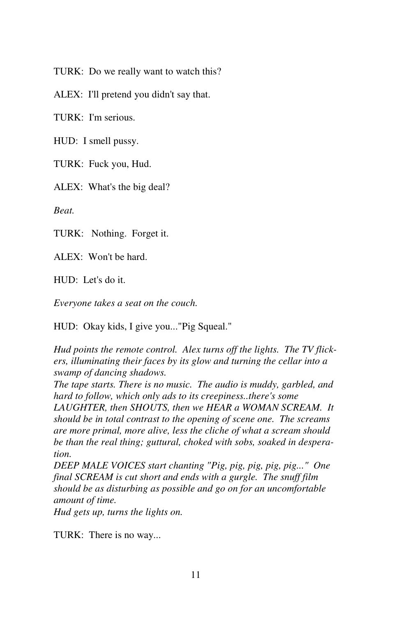TURK: Do we really want to watch this?

ALEX: I'll pretend you didn't say that.

TURK: I'm serious.

HUD: I smell pussy.

TURK: Fuck you, Hud.

ALEX: What's the big deal?

*Beat.* 

TURK: Nothing. Forget it.

ALEX: Won't be hard.

HUD: Let's do it.

*Everyone takes a seat on the couch.* 

HUD: Okay kids, I give you..."Pig Squeal."

*Hud points the remote control. Alex turns off the lights. The TV flickers, illuminating their faces by its glow and turning the cellar into a swamp of dancing shadows.* 

*The tape starts. There is no music. The audio is muddy, garbled, and hard to follow, which only ads to its creepiness..there's some* 

*LAUGHTER, then SHOUTS, then we HEAR a WOMAN SCREAM. It should be in total contrast to the opening of scene one. The screams are more primal, more alive, less the cliche of what a scream should be than the real thing; guttural, choked with sobs, soaked in desperation.* 

*DEEP MALE VOICES start chanting "Pig, pig, pig, pig, pig..." One final SCREAM is cut short and ends with a gurgle. The snuff film should be as disturbing as possible and go on for an uncomfortable amount of time.* 

*Hud gets up, turns the lights on.* 

TURK: There is no way...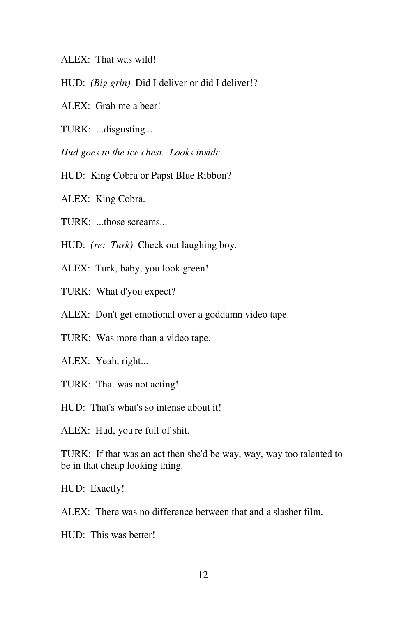ALEX: That was wild!

- HUD: *(Big grin)* Did I deliver or did I deliver!?
- ALEX: Grab me a beer!
- TURK: ...disgusting...

*Hud goes to the ice chest. Looks inside.* 

HUD: King Cobra or Papst Blue Ribbon?

ALEX: King Cobra.

TURK: ...those screams...

HUD: *(re: Turk)* Check out laughing boy.

ALEX: Turk, baby, you look green!

TURK: What d'you expect?

ALEX: Don't get emotional over a goddamn video tape.

TURK: Was more than a video tape.

ALEX: Yeah, right...

TURK: That was not acting!

HUD: That's what's so intense about it!

ALEX: Hud, you're full of shit.

TURK: If that was an act then she'd be way, way, way too talented to be in that cheap looking thing.

HUD: Exactly!

ALEX: There was no difference between that and a slasher film.

HUD: This was better!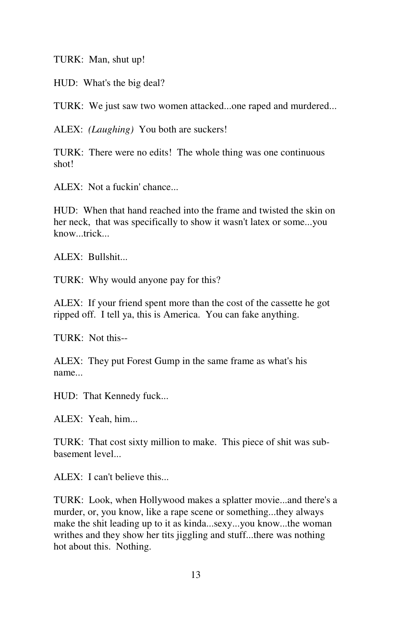TURK: Man, shut up!

HUD: What's the big deal?

TURK: We just saw two women attacked...one raped and murdered...

ALEX: *(Laughing)* You both are suckers!

TURK: There were no edits! The whole thing was one continuous shot!

ALEX: Not a fuckin' chance...

HUD: When that hand reached into the frame and twisted the skin on her neck, that was specifically to show it wasn't latex or some...you know...trick...

ALEX: Bullshit...

TURK: Why would anyone pay for this?

ALEX: If your friend spent more than the cost of the cassette he got ripped off. I tell ya, this is America. You can fake anything.

TURK: Not this--

ALEX: They put Forest Gump in the same frame as what's his name...

HUD: That Kennedy fuck...

ALEX: Yeah, him...

TURK: That cost sixty million to make. This piece of shit was subbasement level...

ALEX: I can't believe this...

TURK: Look, when Hollywood makes a splatter movie...and there's a murder, or, you know, like a rape scene or something...they always make the shit leading up to it as kinda...sexy...you know...the woman writhes and they show her tits jiggling and stuff...there was nothing hot about this. Nothing.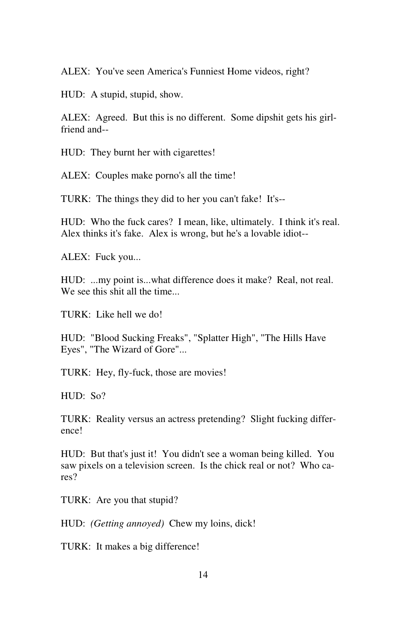ALEX: You've seen America's Funniest Home videos, right?

HUD: A stupid, stupid, show.

ALEX: Agreed. But this is no different. Some dipshit gets his girlfriend and--

HUD: They burnt her with cigarettes!

ALEX: Couples make porno's all the time!

TURK: The things they did to her you can't fake! It's--

HUD: Who the fuck cares? I mean, like, ultimately. I think it's real. Alex thinks it's fake. Alex is wrong, but he's a lovable idiot--

ALEX: Fuck you...

HUD: ...my point is...what difference does it make? Real, not real. We see this shit all the time...

TURK: Like hell we do!

HUD: "Blood Sucking Freaks", "Splatter High", "The Hills Have Eyes", "The Wizard of Gore"...

TURK: Hey, fly-fuck, those are movies!

HUD: So?

TURK: Reality versus an actress pretending? Slight fucking difference!

HUD: But that's just it! You didn't see a woman being killed. You saw pixels on a television screen. Is the chick real or not? Who cares?

TURK: Are you that stupid?

HUD: *(Getting annoyed)* Chew my loins, dick!

TURK: It makes a big difference!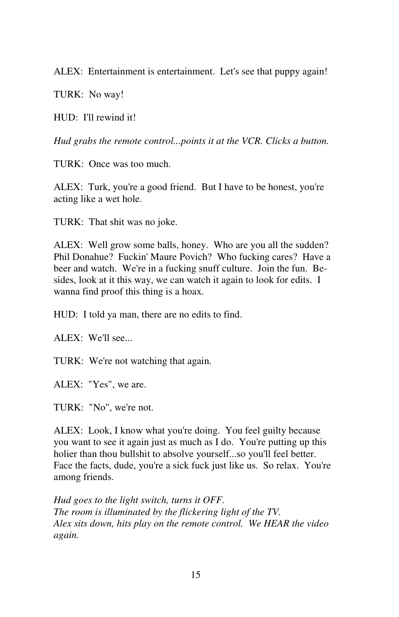ALEX: Entertainment is entertainment. Let's see that puppy again!

TURK: No way!

HUD: I'll rewind it!

*Hud grabs the remote control...points it at the VCR. Clicks a button.* 

TURK: Once was too much.

ALEX: Turk, you're a good friend. But I have to be honest, you're acting like a wet hole.

TURK: That shit was no joke.

ALEX: Well grow some balls, honey. Who are you all the sudden? Phil Donahue? Fuckin' Maure Povich? Who fucking cares? Have a beer and watch. We're in a fucking snuff culture. Join the fun. Besides, look at it this way, we can watch it again to look for edits. I wanna find proof this thing is a hoax.

HUD: I told ya man, there are no edits to find.

ALEX: We'll see...

TURK: We're not watching that again.

ALEX: "Yes", we are.

TURK: "No", we're not.

ALEX: Look, I know what you're doing. You feel guilty because you want to see it again just as much as I do. You're putting up this holier than thou bullshit to absolve yourself...so you'll feel better. Face the facts, dude, you're a sick fuck just like us. So relax. You're among friends.

*Hud goes to the light switch, turns it OFF. The room is illuminated by the flickering light of the TV. Alex sits down, hits play on the remote control. We HEAR the video again.*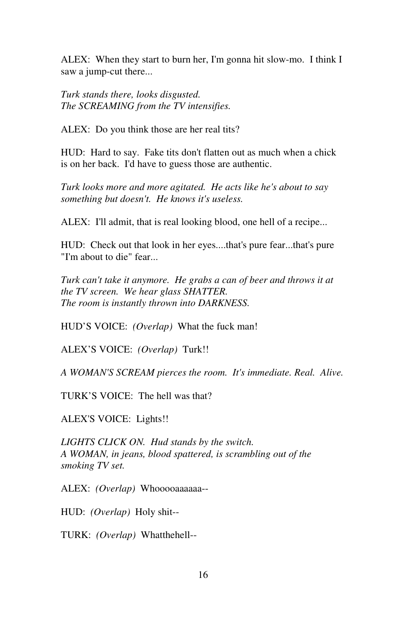ALEX: When they start to burn her, I'm gonna hit slow-mo. I think I saw a jump-cut there...

*Turk stands there, looks disgusted. The SCREAMING from the TV intensifies.* 

ALEX: Do you think those are her real tits?

HUD: Hard to say. Fake tits don't flatten out as much when a chick is on her back. I'd have to guess those are authentic.

*Turk looks more and more agitated. He acts like he's about to say something but doesn't. He knows it's useless.* 

ALEX: I'll admit, that is real looking blood, one hell of a recipe...

HUD: Check out that look in her eyes....that's pure fear...that's pure "I'm about to die" fear...

*Turk can't take it anymore. He grabs a can of beer and throws it at the TV screen. We hear glass SHATTER. The room is instantly thrown into DARKNESS.*

HUD'S VOICE: *(Overlap)* What the fuck man!

ALEX'S VOICE: *(Overlap)* Turk!!

*A WOMAN'S SCREAM pierces the room. It's immediate. Real. Alive.* 

TURK'S VOICE: The hell was that?

ALEX'S VOICE: Lights!!

*LIGHTS CLICK ON. Hud stands by the switch. A WOMAN, in jeans, blood spattered, is scrambling out of the smoking TV set.* 

ALEX: *(Overlap)* Whooooaaaaaa--

HUD: *(Overlap)* Holy shit--

TURK: *(Overlap)* Whatthehell--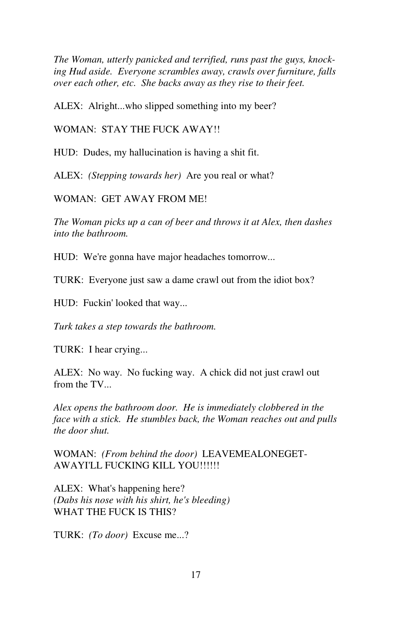*The Woman, utterly panicked and terrified, runs past the guys, knocking Hud aside. Everyone scrambles away, crawls over furniture, falls over each other, etc. She backs away as they rise to their feet.* 

ALEX: Alright...who slipped something into my beer?

WOMAN: STAY THE FUCK AWAY!!

HUD: Dudes, my hallucination is having a shit fit.

ALEX: *(Stepping towards her)* Are you real or what?

WOMAN: GET AWAY FROM ME!

*The Woman picks up a can of beer and throws it at Alex, then dashes into the bathroom.* 

HUD: We're gonna have major headaches tomorrow...

TURK: Everyone just saw a dame crawl out from the idiot box?

HUD: Fuckin' looked that way...

*Turk takes a step towards the bathroom.* 

TURK: I hear crying...

ALEX: No way. No fucking way. A chick did not just crawl out from the TV...

*Alex opens the bathroom door. He is immediately clobbered in the face with a stick. He stumbles back, the Woman reaches out and pulls the door shut.* 

WOMAN: *(From behind the door)* LEAVEMEALONEGET-AWAYI'LL FUCKING KILL YOU!!!!!!

ALEX: What's happening here? *(Dabs his nose with his shirt, he's bleeding)*  WHAT THE FUCK IS THIS?

TURK: *(To door)* Excuse me...?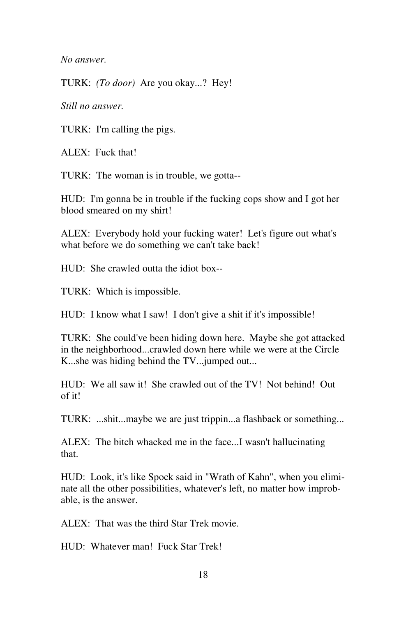*No answer.* 

TURK: *(To door)* Are you okay...? Hey!

*Still no answer.* 

TURK: I'm calling the pigs.

ALEX: Fuck that!

TURK: The woman is in trouble, we gotta--

HUD: I'm gonna be in trouble if the fucking cops show and I got her blood smeared on my shirt!

ALEX: Everybody hold your fucking water! Let's figure out what's what before we do something we can't take back!

HUD: She crawled outta the idiot box--

TURK: Which is impossible.

HUD: I know what I saw! I don't give a shit if it's impossible!

TURK: She could've been hiding down here. Maybe she got attacked in the neighborhood...crawled down here while we were at the Circle K...she was hiding behind the TV...jumped out...

HUD: We all saw it! She crawled out of the TV! Not behind! Out of it!

TURK: ...shit...maybe we are just trippin...a flashback or something...

ALEX: The bitch whacked me in the face...I wasn't hallucinating that.

HUD: Look, it's like Spock said in "Wrath of Kahn", when you eliminate all the other possibilities, whatever's left, no matter how improbable, is the answer.

ALEX: That was the third Star Trek movie.

HUD: Whatever man! Fuck Star Trek!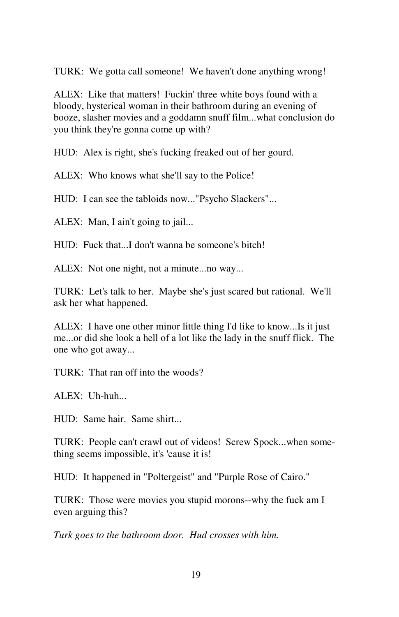TURK: We gotta call someone! We haven't done anything wrong!

ALEX: Like that matters! Fuckin' three white boys found with a bloody, hysterical woman in their bathroom during an evening of booze, slasher movies and a goddamn snuff film...what conclusion do you think they're gonna come up with?

HUD: Alex is right, she's fucking freaked out of her gourd.

ALEX: Who knows what she'll say to the Police!

HUD: I can see the tabloids now..."Psycho Slackers"...

ALEX: Man, I ain't going to jail...

 $HID:$  Fuck that. I don't wanna be someone's bitch!

ALEX: Not one night, not a minute...no way...

TURK: Let's talk to her. Maybe she's just scared but rational. We'll ask her what happened.

ALEX: I have one other minor little thing I'd like to know...Is it just me...or did she look a hell of a lot like the lady in the snuff flick. The one who got away...

TURK: That ran off into the woods?

ALEX: Uh-huh...

HUD: Same hair. Same shirt...

TURK: People can't crawl out of videos! Screw Spock...when something seems impossible, it's 'cause it is!

HUD: It happened in "Poltergeist" and "Purple Rose of Cairo."

TURK: Those were movies you stupid morons--why the fuck am I even arguing this?

*Turk goes to the bathroom door. Hud crosses with him.*